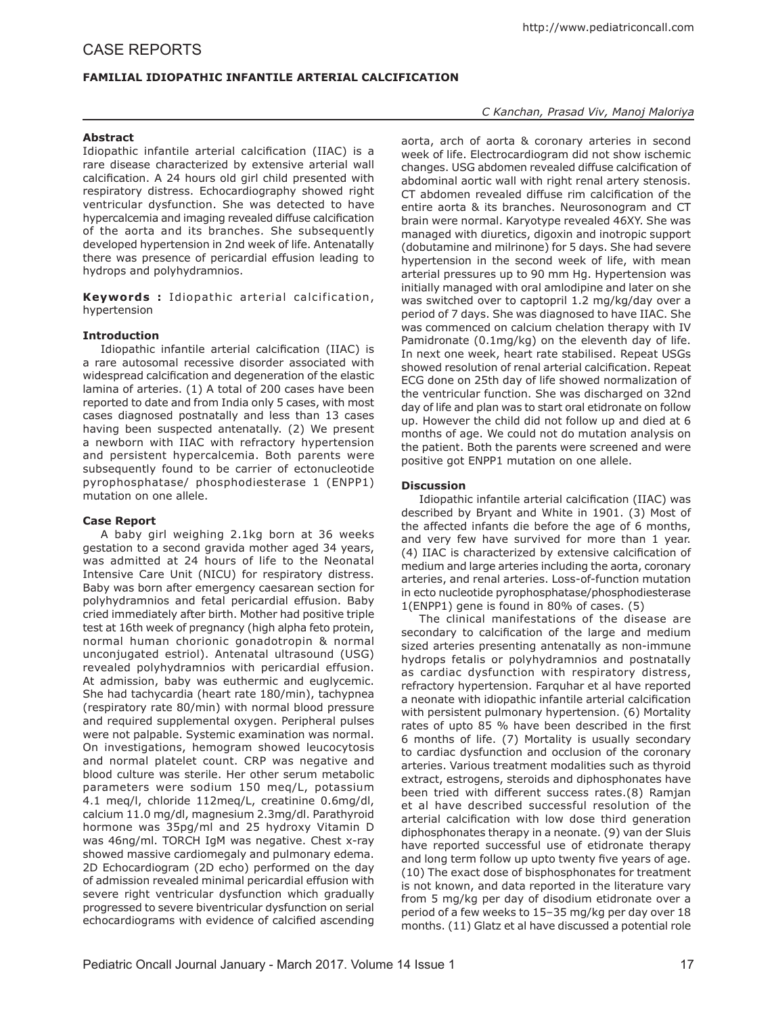# **FAMILIAL IDIOPATHIC INFANTILE ARTERIAL CALCIFICATION**

## **Abstract**

Idiopathic infantile arterial calcification (IIAC) is a rare disease characterized by extensive arterial wall calcification. A 24 hours old girl child presented with respiratory distress. Echocardiography showed right ventricular dysfunction. She was detected to have hypercalcemia and imaging revealed diffuse calcification of the aorta and its branches. She subsequently developed hypertension in 2nd week of life. Antenatally there was presence of pericardial effusion leading to hydrops and polyhydramnios.

Keywords : Idiopathic arterial calcification, hypertension

## **Introduction**

Idiopathic infantile arterial calcification (IIAC) is a rare autosomal recessive disorder associated with widespread calcification and degeneration of the elastic lamina of arteries. (1) A total of 200 cases have been reported to date and from India only 5 cases, with most cases diagnosed postnatally and less than 13 cases having been suspected antenatally. (2) We present a newborn with IIAC with refractory hypertension and persistent hypercalcemia. Both parents were subsequently found to be carrier of ectonucleotide pyrophosphatase/ phosphodiesterase 1 (ENPP1) mutation on one allele.

#### **Case Report**

A baby girl weighing 2.1kg born at 36 weeks gestation to a second gravida mother aged 34 years, was admitted at 24 hours of life to the Neonatal Intensive Care Unit (NICU) for respiratory distress. Baby was born after emergency caesarean section for polyhydramnios and fetal pericardial effusion. Baby cried immediately after birth. Mother had positive triple test at 16th week of pregnancy (high alpha feto protein, normal human chorionic gonadotropin & normal unconjugated estriol). Antenatal ultrasound (USG) revealed polyhydramnios with pericardial effusion. At admission, baby was euthermic and euglycemic. She had tachycardia (heart rate 180/min), tachypnea (respiratory rate 80/min) with normal blood pressure and required supplemental oxygen. Peripheral pulses were not palpable. Systemic examination was normal. On investigations, hemogram showed leucocytosis and normal platelet count. CRP was negative and blood culture was sterile. Her other serum metabolic parameters were sodium 150 meq/L, potassium 4.1 meq/l, chloride 112meq/L, creatinine 0.6mg/dl, calcium 11.0 mg/dl, magnesium 2.3mg/dl. Parathyroid hormone was 35pg/ml and 25 hydroxy Vitamin D was 46ng/ml. TORCH IgM was negative. Chest x-ray showed massive cardiomegaly and pulmonary edema. 2D Echocardiogram (2D echo) performed on the day of admission revealed minimal pericardial effusion with severe right ventricular dysfunction which gradually progressed to severe biventricular dysfunction on serial echocardiograms with evidence of calcified ascending

### *C Kanchan, Prasad Viv, Manoj Maloriya*

aorta, arch of aorta & coronary arteries in second week of life. Electrocardiogram did not show ischemic changes. USG abdomen revealed diffuse calcification of abdominal aortic wall with right renal artery stenosis. CT abdomen revealed diffuse rim calcification of the entire aorta & its branches. Neurosonogram and CT brain were normal. Karyotype revealed 46XY. She was managed with diuretics, digoxin and inotropic support (dobutamine and milrinone) for 5 days. She had severe hypertension in the second week of life, with mean arterial pressures up to 90 mm Hg. Hypertension was initially managed with oral amlodipine and later on she was switched over to captopril 1.2 mg/kg/day over a period of 7 days. She was diagnosed to have IIAC. She was commenced on calcium chelation therapy with IV Pamidronate (0.1mg/kg) on the eleventh day of life. In next one week, heart rate stabilised. Repeat USGs showed resolution of renal arterial calcification. Repeat ECG done on 25th day of life showed normalization of the ventricular function. She was discharged on 32nd day of life and plan was to start oral etidronate on follow up. However the child did not follow up and died at 6 months of age. We could not do mutation analysis on the patient. Both the parents were screened and were positive got ENPP1 mutation on one allele.

## **Discussion**

Idiopathic infantile arterial calcification (IIAC) was described by Bryant and White in 1901. (3) Most of the affected infants die before the age of 6 months, and very few have survived for more than 1 year. (4) IIAC is characterized by extensive calcification of medium and large arteries including the aorta, coronary arteries, and renal arteries. Loss-of-function mutation in ecto nucleotide pyrophosphatase/phosphodiesterase 1(ENPP1) gene is found in 80% of cases. (5)

The clinical manifestations of the disease are secondary to calcification of the large and medium sized arteries presenting antenatally as non-immune hydrops fetalis or polyhydramnios and postnatally as cardiac dysfunction with respiratory distress, refractory hypertension. Farquhar et al have reported a neonate with idiopathic infantile arterial calcification with persistent pulmonary hypertension. (6) Mortality rates of upto 85 % have been described in the first 6 months of life. (7) Mortality is usually secondary to cardiac dysfunction and occlusion of the coronary arteries. Various treatment modalities such as thyroid extract, estrogens, steroids and diphosphonates have been tried with different success rates.(8) Ramjan et al have described successful resolution of the arterial calcification with low dose third generation diphosphonates therapy in a neonate. (9) van der Sluis have reported successful use of etidronate therapy and long term follow up upto twenty five years of age. (10) The exact dose of bisphosphonates for treatment is not known, and data reported in the literature vary from 5 mg/kg per day of disodium etidronate over a period of a few weeks to 15–35 mg/kg per day over 18 months. (11) Glatz et al have discussed a potential role